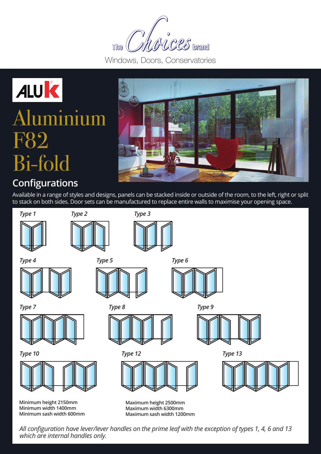MACES brand **The** 

Windows, Doors, Conservatories

## ALUK Aluminium F82 Bi-fold



### **Configurations**

Available in a range of styles and designs, panels can be stacked inside or outside of the room, to the left, right or split to stack on both sides. Door sets can be manufactured to replace entire walls to maximise your opening space.



*All configuration have lever/lever handles on the prime leaf with the exception of types 1, 4, 6 and 13 which are internal handles only.*